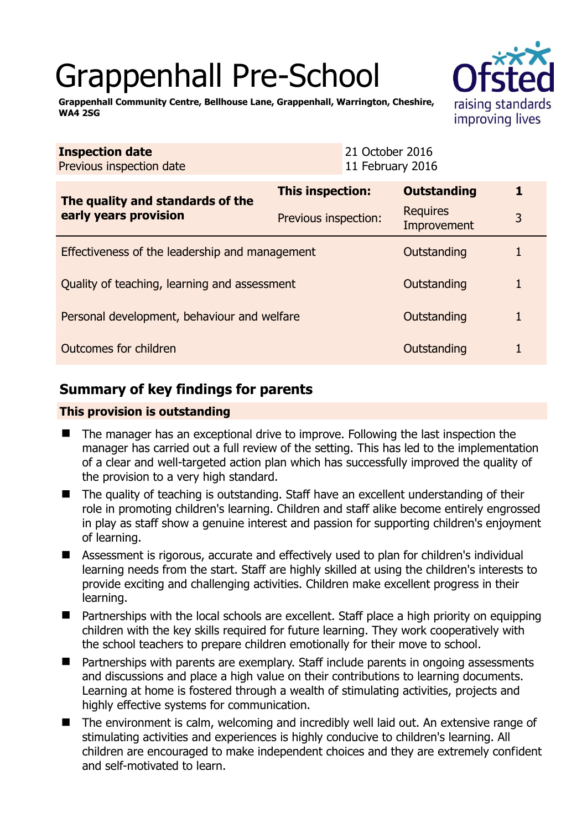# Grappenhall Pre-School



**Grappenhall Community Centre, Bellhouse Lane, Grappenhall, Warrington, Cheshire, WA4 2SG** 

|  | <b>Inspection date</b><br>Previous inspection date        |                         | 21 October 2016<br>11 February 2016 |                                |   |  |
|--|-----------------------------------------------------------|-------------------------|-------------------------------------|--------------------------------|---|--|
|  | The quality and standards of the<br>early years provision | <b>This inspection:</b> |                                     | <b>Outstanding</b>             | 1 |  |
|  |                                                           | Previous inspection:    |                                     | <b>Requires</b><br>Improvement | 3 |  |
|  | Effectiveness of the leadership and management            |                         |                                     | Outstanding                    |   |  |
|  | Quality of teaching, learning and assessment              |                         |                                     | Outstanding                    | 1 |  |
|  | Personal development, behaviour and welfare               |                         |                                     | Outstanding                    |   |  |
|  | Outcomes for children                                     |                         |                                     | Outstanding                    |   |  |

## **Summary of key findings for parents**

## **This provision is outstanding**

- The manager has an exceptional drive to improve. Following the last inspection the manager has carried out a full review of the setting. This has led to the implementation of a clear and well-targeted action plan which has successfully improved the quality of the provision to a very high standard.
- The quality of teaching is outstanding. Staff have an excellent understanding of their role in promoting children's learning. Children and staff alike become entirely engrossed in play as staff show a genuine interest and passion for supporting children's enjoyment of learning.
- Assessment is rigorous, accurate and effectively used to plan for children's individual learning needs from the start. Staff are highly skilled at using the children's interests to provide exciting and challenging activities. Children make excellent progress in their learning.
- Partnerships with the local schools are excellent. Staff place a high priority on equipping children with the key skills required for future learning. They work cooperatively with the school teachers to prepare children emotionally for their move to school.
- Partnerships with parents are exemplary. Staff include parents in ongoing assessments and discussions and place a high value on their contributions to learning documents. Learning at home is fostered through a wealth of stimulating activities, projects and highly effective systems for communication.
- The environment is calm, welcoming and incredibly well laid out. An extensive range of stimulating activities and experiences is highly conducive to children's learning. All children are encouraged to make independent choices and they are extremely confident and self-motivated to learn.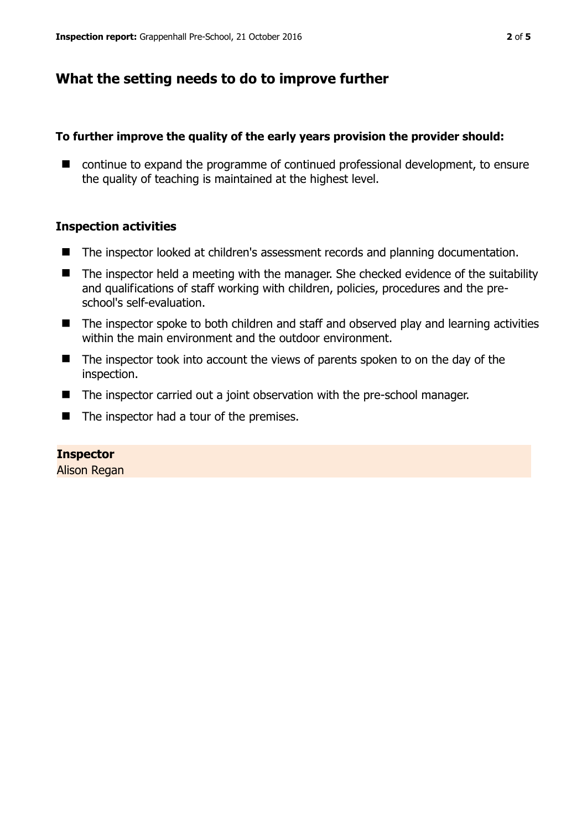## **What the setting needs to do to improve further**

### **To further improve the quality of the early years provision the provider should:**

■ continue to expand the programme of continued professional development, to ensure the quality of teaching is maintained at the highest level.

### **Inspection activities**

- The inspector looked at children's assessment records and planning documentation.
- The inspector held a meeting with the manager. She checked evidence of the suitability and qualifications of staff working with children, policies, procedures and the preschool's self-evaluation.
- The inspector spoke to both children and staff and observed play and learning activities within the main environment and the outdoor environment.
- The inspector took into account the views of parents spoken to on the day of the inspection.
- The inspector carried out a joint observation with the pre-school manager.
- The inspector had a tour of the premises.

#### **Inspector**

Alison Regan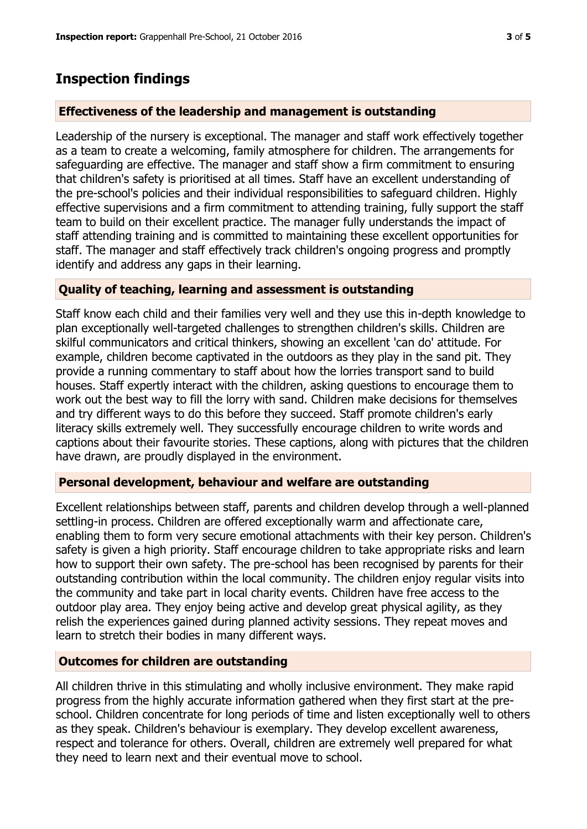## **Inspection findings**

## **Effectiveness of the leadership and management is outstanding**

Leadership of the nursery is exceptional. The manager and staff work effectively together as a team to create a welcoming, family atmosphere for children. The arrangements for safeguarding are effective. The manager and staff show a firm commitment to ensuring that children's safety is prioritised at all times. Staff have an excellent understanding of the pre-school's policies and their individual responsibilities to safeguard children. Highly effective supervisions and a firm commitment to attending training, fully support the staff team to build on their excellent practice. The manager fully understands the impact of staff attending training and is committed to maintaining these excellent opportunities for staff. The manager and staff effectively track children's ongoing progress and promptly identify and address any gaps in their learning.

## **Quality of teaching, learning and assessment is outstanding**

Staff know each child and their families very well and they use this in-depth knowledge to plan exceptionally well-targeted challenges to strengthen children's skills. Children are skilful communicators and critical thinkers, showing an excellent 'can do' attitude. For example, children become captivated in the outdoors as they play in the sand pit. They provide a running commentary to staff about how the lorries transport sand to build houses. Staff expertly interact with the children, asking questions to encourage them to work out the best way to fill the lorry with sand. Children make decisions for themselves and try different ways to do this before they succeed. Staff promote children's early literacy skills extremely well. They successfully encourage children to write words and captions about their favourite stories. These captions, along with pictures that the children have drawn, are proudly displayed in the environment.

### **Personal development, behaviour and welfare are outstanding**

Excellent relationships between staff, parents and children develop through a well-planned settling-in process. Children are offered exceptionally warm and affectionate care, enabling them to form very secure emotional attachments with their key person. Children's safety is given a high priority. Staff encourage children to take appropriate risks and learn how to support their own safety. The pre-school has been recognised by parents for their outstanding contribution within the local community. The children enjoy regular visits into the community and take part in local charity events. Children have free access to the outdoor play area. They enjoy being active and develop great physical agility, as they relish the experiences gained during planned activity sessions. They repeat moves and learn to stretch their bodies in many different ways.

### **Outcomes for children are outstanding**

All children thrive in this stimulating and wholly inclusive environment. They make rapid progress from the highly accurate information gathered when they first start at the preschool. Children concentrate for long periods of time and listen exceptionally well to others as they speak. Children's behaviour is exemplary. They develop excellent awareness, respect and tolerance for others. Overall, children are extremely well prepared for what they need to learn next and their eventual move to school.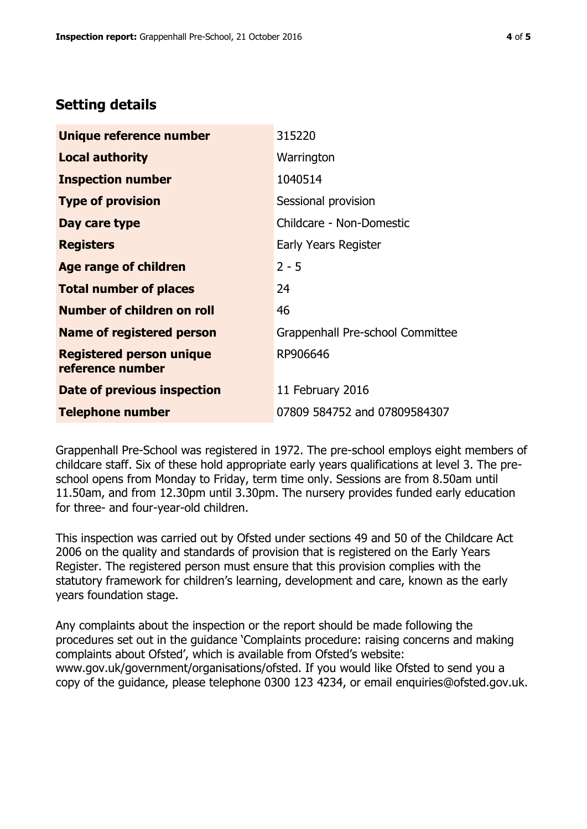## **Setting details**

| Unique reference number                             | 315220                           |
|-----------------------------------------------------|----------------------------------|
| <b>Local authority</b>                              | Warrington                       |
| <b>Inspection number</b>                            | 1040514                          |
| <b>Type of provision</b>                            | Sessional provision              |
| Day care type                                       | Childcare - Non-Domestic         |
| <b>Registers</b>                                    | Early Years Register             |
| <b>Age range of children</b>                        | $2 - 5$                          |
| <b>Total number of places</b>                       | 24                               |
| <b>Number of children on roll</b>                   | 46                               |
| Name of registered person                           | Grappenhall Pre-school Committee |
| <b>Registered person unique</b><br>reference number | RP906646                         |
| Date of previous inspection                         | 11 February 2016                 |
| <b>Telephone number</b>                             | 07809 584752 and 07809584307     |

Grappenhall Pre-School was registered in 1972. The pre-school employs eight members of childcare staff. Six of these hold appropriate early years qualifications at level 3. The preschool opens from Monday to Friday, term time only. Sessions are from 8.50am until 11.50am, and from 12.30pm until 3.30pm. The nursery provides funded early education for three- and four-year-old children.

This inspection was carried out by Ofsted under sections 49 and 50 of the Childcare Act 2006 on the quality and standards of provision that is registered on the Early Years Register. The registered person must ensure that this provision complies with the statutory framework for children's learning, development and care, known as the early years foundation stage.

Any complaints about the inspection or the report should be made following the procedures set out in the guidance 'Complaints procedure: raising concerns and making complaints about Ofsted', which is available from Ofsted's website: www.gov.uk/government/organisations/ofsted. If you would like Ofsted to send you a copy of the guidance, please telephone 0300 123 4234, or email enquiries@ofsted.gov.uk.